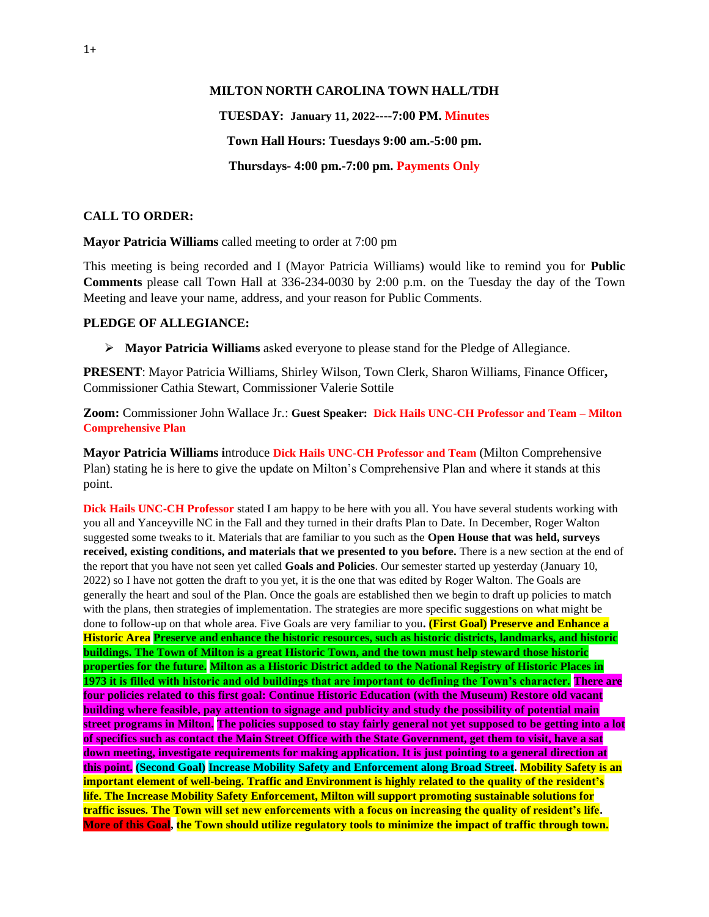#### **MILTON NORTH CAROLINA TOWN HALL/TDH**

# **TUESDAY: January 11, 2022----7:00 PM. Minutes Town Hall Hours: Tuesdays 9:00 am.-5:00 pm. Thursdays- 4:00 pm.-7:00 pm. Payments Only**

# **CALL TO ORDER:**

**Mayor Patricia Williams** called meeting to order at 7:00 pm

This meeting is being recorded and I (Mayor Patricia Williams) would like to remind you for **Public Comments** please call Town Hall at 336-234-0030 by 2:00 p.m. on the Tuesday the day of the Town Meeting and leave your name, address, and your reason for Public Comments.

#### **PLEDGE OF ALLEGIANCE:**

➢ **Mayor Patricia Williams** asked everyone to please stand for the Pledge of Allegiance.

**PRESENT**: Mayor Patricia Williams, Shirley Wilson, Town Clerk, Sharon Williams, Finance Officer**,**  Commissioner Cathia Stewart, Commissioner Valerie Sottile

**Zoom:** Commissioner John Wallace Jr.: **Guest Speaker: Dick Hails UNC-CH Professor and Team – Milton Comprehensive Plan**

**Mayor Patricia Williams i**ntroduce **Dick Hails UNC-CH Professor and Team** (Milton Comprehensive Plan) stating he is here to give the update on Milton's Comprehensive Plan and where it stands at this point.

**Dick Hails UNC-CH Professor** stated I am happy to be here with you all. You have several students working with you all and Yanceyville NC in the Fall and they turned in their drafts Plan to Date. In December, Roger Walton suggested some tweaks to it. Materials that are familiar to you such as the **Open House that was held, surveys received, existing conditions, and materials that we presented to you before.** There is a new section at the end of the report that you have not seen yet called **Goals and Policies**. Our semester started up yesterday (January 10, 2022) so I have not gotten the draft to you yet, it is the one that was edited by Roger Walton. The Goals are generally the heart and soul of the Plan. Once the goals are established then we begin to draft up policies to match with the plans, then strategies of implementation. The strategies are more specific suggestions on what might be done to follow-up on that whole area. Five Goals are very familiar to you**. (First Goal) Preserve and Enhance a Historic Area Preserve and enhance the historic resources, such as historic districts, landmarks, and historic buildings. The Town of Milton is a great Historic Town, and the town must help steward those historic properties for the future. Milton as a Historic District added to the National Registry of Historic Places in 1973 it is filled with historic and old buildings that are important to defining the Town's character. There are four policies related to this first goal: Continue Historic Education (with the Museum) Restore old vacant building where feasible, pay attention to signage and publicity and study the possibility of potential main street programs in Milton. The policies supposed to stay fairly general not yet supposed to be getting into a lot of specifics such as contact the Main Street Office with the State Government, get them to visit, have a sat down meeting, investigate requirements for making application. It is just pointing to a general direction at this point. (Second Goal) Increase Mobility Safety and Enforcement along Broad Street. Mobility Safety is an important element of well-being. Traffic and Environment is highly related to the quality of the resident's life. The Increase Mobility Safety Enforcement, Milton will support promoting sustainable solutions for traffic issues. The Town will set new enforcements with a focus on increasing the quality of resident's life. More of this Goal, the Town should utilize regulatory tools to minimize the impact of traffic through town.**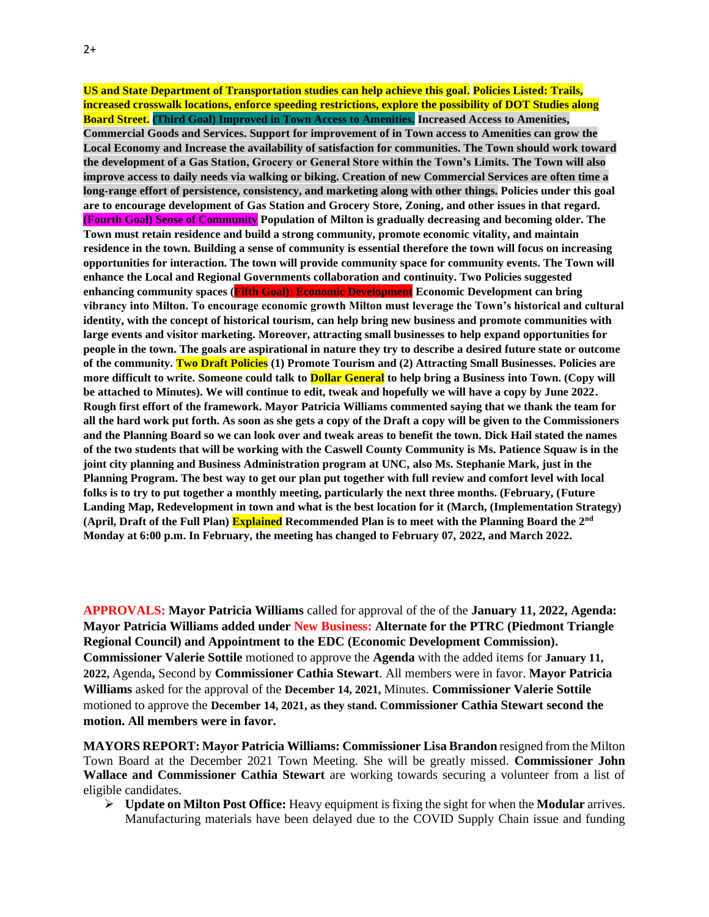**US and State Department of Transportation studies can help achieve this goal. Policies Listed: Trails, increased crosswalk locations, enforce speeding restrictions, explore the possibility of DOT Studies along Board Street. (Third Goal) Improved in Town Access to Amenities. Increased Access to Amenities, Commercial Goods and Services. Support for improvement of in Town access to Amenities can grow the Local Economy and Increase the availability of satisfaction for communities. The Town should work toward the development of a Gas Station, Grocery or General Store within the Town's Limits. The Town will also improve access to daily needs via walking or biking. Creation of new Commercial Services are often time a long-range effort of persistence, consistency, and marketing along with other things. Policies under this goal are to encourage development of Gas Station and Grocery Store, Zoning, and other issues in that regard. (Fourth Goal) Sense of Community Population of Milton is gradually decreasing and becoming older. The Town must retain residence and build a strong community, promote economic vitality, and maintain residence in the town. Building a sense of community is essential therefore the town will focus on increasing opportunities for interaction. The town will provide community space for community events. The Town will enhance the Local and Regional Governments collaboration and continuity. Two Policies suggested enhancing community spaces (Fifth Goal)) Economic Development Economic Development can bring vibrancy into Milton. To encourage economic growth Milton must leverage the Town's historical and cultural identity, with the concept of historical tourism, can help bring new business and promote communities with large events and visitor marketing. Moreover, attracting small businesses to help expand opportunities for people in the town. The goals are aspirational in nature they try to describe a desired future state or outcome of the community. Two Draft Policies (1) Promote Tourism and (2) Attracting Small Businesses. Policies are more difficult to write. Someone could talk to Dollar General to help bring a Business into Town. (Copy will be attached to Minutes). We will continue to edit, tweak and hopefully we will have a copy by June 2022. Rough first effort of the framework. Mayor Patricia Williams commented saying that we thank the team for all the hard work put forth. As soon as she gets a copy of the Draft a copy will be given to the Commissioners and the Planning Board so we can look over and tweak areas to benefit the town. Dick Hail stated the names of the two students that will be working with the Caswell County Community is Ms. Patience Squaw is in the joint city planning and Business Administration program at UNC, also Ms. Stephanie Mark, just in the Planning Program. The best way to get our plan put together with full review and comfort level with local folks is to try to put together a monthly meeting, particularly the next three months. (February, (Future Landing Map, Redevelopment in town and what is the best location for it (March, (Implementation Strategy) (April, Draft of the Full Plan) Explained Recommended Plan is to meet with the Planning Board the 2nd Monday at 6:00 p.m. In February, the meeting has changed to February 07, 2022, and March 2022.**

**APPROVALS: Mayor Patricia Williams** called for approval of the of the **January 11, 2022, Agenda: Mayor Patricia Williams added under New Business: Alternate for the PTRC (Piedmont Triangle Regional Council) and Appointment to the EDC (Economic Development Commission). Commissioner Valerie Sottile** motioned to approve the **Agenda** with the added items for **January 11, 2022,** Agenda**,** Second by **Commissioner Cathia Stewart**. All members were in favor. **Mayor Patricia Williams** asked for the approval of the **December 14, 2021,** Minutes. **Commissioner Valerie Sottile** motioned to approve the **December 14, 2021, as they stand. Commissioner Cathia Stewart second the motion. All members were in favor.**

**MAYORS REPORT: Mayor Patricia Williams: Commissioner Lisa Brandon** resigned from the Milton Town Board at the December 2021 Town Meeting. She will be greatly missed. **Commissioner John Wallace and Commissioner Cathia Stewart** are working towards securing a volunteer from a list of eligible candidates.

➢ **Update on Milton Post Office:** Heavy equipment is fixing the sight for when the **Modular** arrives. Manufacturing materials have been delayed due to the COVID Supply Chain issue and funding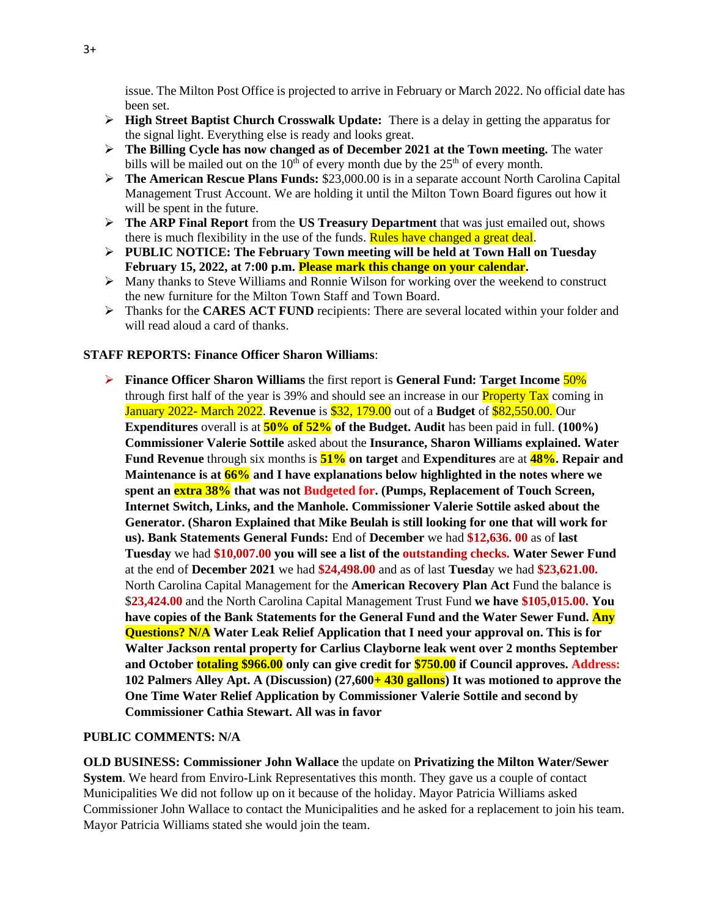issue. The Milton Post Office is projected to arrive in February or March 2022. No official date has been set.

- ➢ **High Street Baptist Church Crosswalk Update:** There is a delay in getting the apparatus for the signal light. Everything else is ready and looks great.
- ➢ **The Billing Cycle has now changed as of December 2021 at the Town meeting.** The water bills will be mailed out on the  $10<sup>th</sup>$  of every month due by the  $25<sup>th</sup>$  of every month.
- ➢ **The American Rescue Plans Funds:** \$23,000.00 is in a separate account North Carolina Capital Management Trust Account. We are holding it until the Milton Town Board figures out how it will be spent in the future.
- ➢ **The ARP Final Report** from the **US Treasury Department** that was just emailed out, shows there is much flexibility in the use of the funds. Rules have changed a great deal.
- ➢ **PUBLIC NOTICE: The February Town meeting will be held at Town Hall on Tuesday February 15, 2022, at 7:00 p.m. Please mark this change on your calendar.**
- ➢ Many thanks to Steve Williams and Ronnie Wilson for working over the weekend to construct the new furniture for the Milton Town Staff and Town Board.
- ➢ Thanks for the **CARES ACT FUND** recipients: There are several located within your folder and will read aloud a card of thanks.

## **STAFF REPORTS: Finance Officer Sharon Williams**:

➢ **Finance Officer Sharon Williams** the first report is **General Fund: Target Income** 50% through first half of the year is 39% and should see an increase in our **Property Tax** coming in January 2022- March 2022. **Revenue** is \$32, 179.00 out of a **Budget** of \$82,550.00. Our **Expenditures** overall is at **50% of 52% of the Budget. Audit** has been paid in full. **(100%) Commissioner Valerie Sottile** asked about the **Insurance, Sharon Williams explained. Water Fund Revenue** through six months is **51% on target** and **Expenditures** are at **48%. Repair and Maintenance is at 66% and I have explanations below highlighted in the notes where we spent an extra 38% that was not Budgeted for. (Pumps, Replacement of Touch Screen, Internet Switch, Links, and the Manhole. Commissioner Valerie Sottile asked about the Generator. (Sharon Explained that Mike Beulah is still looking for one that will work for us). Bank Statements General Funds:** End of **December** we had **\$12,636. 00** as of **last Tuesday** we had **\$10,007.00 you will see a list of the outstanding checks. Water Sewer Fund**  at the end of **December 2021** we had **\$24,498.00** and as of last **Tuesda**y we had **\$23,621.00.**  North Carolina Capital Management for the **American Recovery Plan Act** Fund the balance is \$**23,424.00** and the North Carolina Capital Management Trust Fund **we have \$105,015.00. You have copies of the Bank Statements for the General Fund and the Water Sewer Fund. Any Questions? N/A Water Leak Relief Application that I need your approval on. This is for Walter Jackson rental property for Carlius Clayborne leak went over 2 months September and October totaling \$966.00 only can give credit for \$750.00 if Council approves. Address: 102 Palmers Alley Apt. A (Discussion) (27,600+ 430 gallons) It was motioned to approve the One Time Water Relief Application by Commissioner Valerie Sottile and second by Commissioner Cathia Stewart. All was in favor**

## **PUBLIC COMMENTS: N/A**

**OLD BUSINESS: Commissioner John Wallace** the update on **Privatizing the Milton Water/Sewer System**. We heard from Enviro-Link Representatives this month. They gave us a couple of contact Municipalities We did not follow up on it because of the holiday. Mayor Patricia Williams asked Commissioner John Wallace to contact the Municipalities and he asked for a replacement to join his team. Mayor Patricia Williams stated she would join the team.